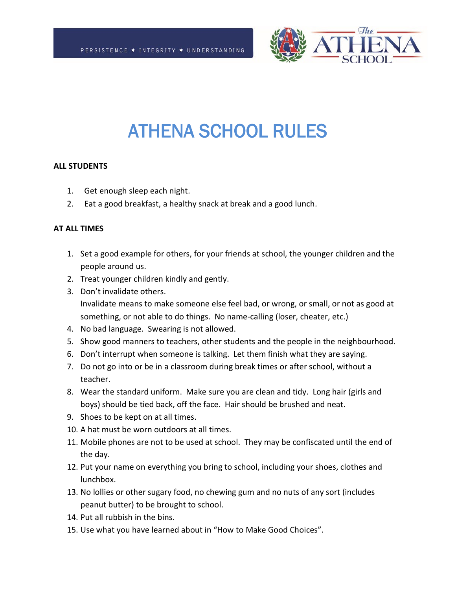

# ATHENA SCHOOL RULES

#### **ALL STUDENTS**

- 1. Get enough sleep each night.
- 2. Eat a good breakfast, a healthy snack at break and a good lunch.

#### **AT ALL TIMES**

- 1. Set a good example for others, for your friends at school, the younger children and the people around us.
- 2. Treat younger children kindly and gently.
- 3. Don't invalidate others. Invalidate means to make someone else feel bad, or wrong, or small, or not as good at something, or not able to do things. No name-calling (loser, cheater, etc.)
- 4. No bad language. Swearing is not allowed.
- 5. Show good manners to teachers, other students and the people in the neighbourhood.
- 6. Don't interrupt when someone is talking. Let them finish what they are saying.
- 7. Do not go into or be in a classroom during break times or after school, without a teacher.
- 8. Wear the standard uniform. Make sure you are clean and tidy. Long hair (girls and boys) should be tied back, off the face. Hair should be brushed and neat.
- 9. Shoes to be kept on at all times.
- 10. A hat must be worn outdoors at all times.
- 11. Mobile phones are not to be used at school. They may be confiscated until the end of the day.
- 12. Put your name on everything you bring to school, including your shoes, clothes and lunchbox.
- 13. No lollies or other sugary food, no chewing gum and no nuts of any sort (includes peanut butter) to be brought to school.
- 14. Put all rubbish in the bins.
- 15. Use what you have learned about in "How to Make Good Choices".